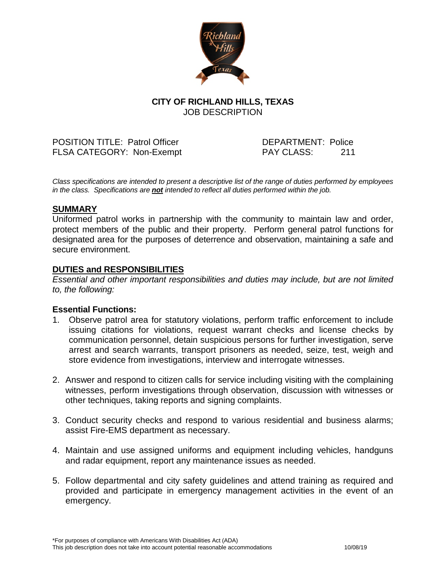

# **CITY OF RICHLAND HILLS, TEXAS** JOB DESCRIPTION

POSITION TITLE: Patrol Officer DEPARTMENT: Police FLSA CATEGORY: Non-Exempt PAY CLASS: 211

*Class specifications are intended to present a descriptive list of the range of duties performed by employees in the class. Specifications are not intended to reflect all duties performed within the job.*

### **SUMMARY**

Uniformed patrol works in partnership with the community to maintain law and order, protect members of the public and their property. Perform general patrol functions for designated area for the purposes of deterrence and observation, maintaining a safe and secure environment.

# **DUTIES and RESPONSIBILITIES**

*Essential and other important responsibilities and duties may include, but are not limited to, the following:*

### **Essential Functions:**

- 1. Observe patrol area for statutory violations, perform traffic enforcement to include issuing citations for violations, request warrant checks and license checks by communication personnel, detain suspicious persons for further investigation, serve arrest and search warrants, transport prisoners as needed, seize, test, weigh and store evidence from investigations, interview and interrogate witnesses.
- 2. Answer and respond to citizen calls for service including visiting with the complaining witnesses, perform investigations through observation, discussion with witnesses or other techniques, taking reports and signing complaints.
- 3. Conduct security checks and respond to various residential and business alarms; assist Fire-EMS department as necessary.
- 4. Maintain and use assigned uniforms and equipment including vehicles, handguns and radar equipment, report any maintenance issues as needed.
- 5. Follow departmental and city safety guidelines and attend training as required and provided and participate in emergency management activities in the event of an emergency.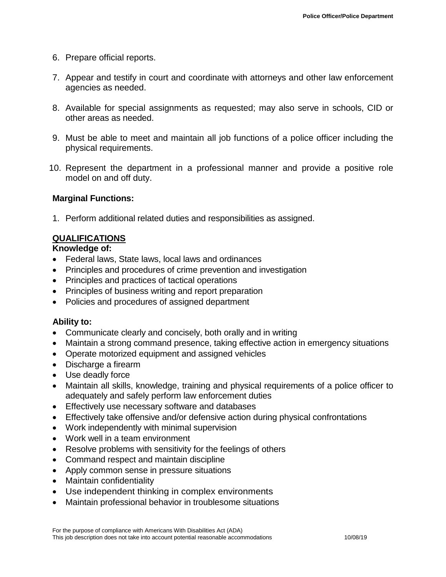- 6. Prepare official reports.
- 7. Appear and testify in court and coordinate with attorneys and other law enforcement agencies as needed.
- 8. Available for special assignments as requested; may also serve in schools, CID or other areas as needed.
- 9. Must be able to meet and maintain all job functions of a police officer including the physical requirements.
- 10. Represent the department in a professional manner and provide a positive role model on and off duty.

### **Marginal Functions:**

1. Perform additional related duties and responsibilities as assigned.

### **QUALIFICATIONS**

### **Knowledge of:**

- Federal laws, State laws, local laws and ordinances
- Principles and procedures of crime prevention and investigation
- Principles and practices of tactical operations
- Principles of business writing and report preparation
- Policies and procedures of assigned department

### **Ability to:**

- Communicate clearly and concisely, both orally and in writing
- Maintain a strong command presence, taking effective action in emergency situations
- Operate motorized equipment and assigned vehicles
- Discharge a firearm
- Use deadly force
- Maintain all skills, knowledge, training and physical requirements of a police officer to adequately and safely perform law enforcement duties
- Effectively use necessary software and databases
- Effectively take offensive and/or defensive action during physical confrontations
- Work independently with minimal supervision
- Work well in a team environment
- Resolve problems with sensitivity for the feelings of others
- Command respect and maintain discipline
- Apply common sense in pressure situations
- Maintain confidentiality
- Use independent thinking in complex environments
- Maintain professional behavior in troublesome situations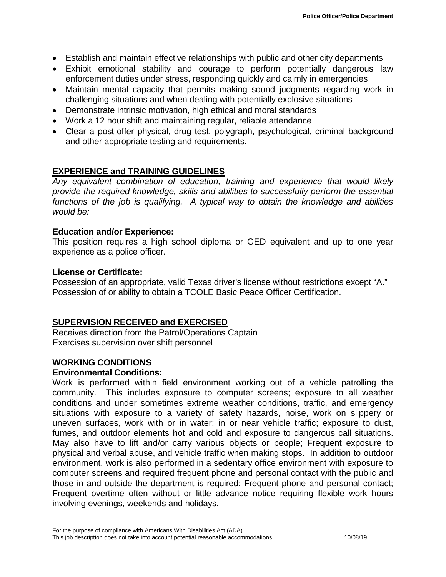- Establish and maintain effective relationships with public and other city departments
- Exhibit emotional stability and courage to perform potentially dangerous law enforcement duties under stress, responding quickly and calmly in emergencies
- Maintain mental capacity that permits making sound judgments regarding work in challenging situations and when dealing with potentially explosive situations
- Demonstrate intrinsic motivation, high ethical and moral standards
- Work a 12 hour shift and maintaining regular, reliable attendance
- Clear a post-offer physical, drug test, polygraph, psychological, criminal background and other appropriate testing and requirements.

# **EXPERIENCE and TRAINING GUIDELINES**

*Any equivalent combination of education, training and experience that would likely provide the required knowledge, skills and abilities to successfully perform the essential functions of the job is qualifying. A typical way to obtain the knowledge and abilities would be:*

### **Education and/or Experience:**

This position requires a high school diploma or GED equivalent and up to one year experience as a police officer.

### **License or Certificate:**

Possession of an appropriate, valid Texas driver's license without restrictions except "A." Possession of or ability to obtain a TCOLE Basic Peace Officer Certification.

# **SUPERVISION RECEIVED and EXERCISED**

Receives direction from the Patrol/Operations Captain Exercises supervision over shift personnel

# **WORKING CONDITIONS**

### **Environmental Conditions:**

Work is performed within field environment working out of a vehicle patrolling the community. This includes exposure to computer screens; exposure to all weather conditions and under sometimes extreme weather conditions, traffic, and emergency situations with exposure to a variety of safety hazards, noise, work on slippery or uneven surfaces, work with or in water; in or near vehicle traffic; exposure to dust, fumes, and outdoor elements hot and cold and exposure to dangerous call situations. May also have to lift and/or carry various objects or people; Frequent exposure to physical and verbal abuse, and vehicle traffic when making stops. In addition to outdoor environment, work is also performed in a sedentary office environment with exposure to computer screens and required frequent phone and personal contact with the public and those in and outside the department is required; Frequent phone and personal contact; Frequent overtime often without or little advance notice requiring flexible work hours involving evenings, weekends and holidays.